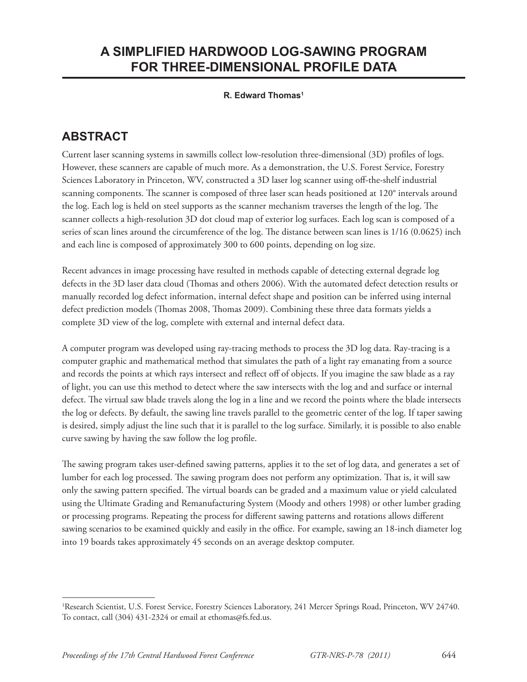## **A SIMPLIFIED HARDWOOD LOG-SAWING PROGRAM FOR THREE-DIMENSIONAL PROFILE DATA**

## **R. Edward Thomas1**

## **ABSTRACT**

Current laser scanning systems in sawmills collect low-resolution three-dimensional (3D) profiles of logs. However, these scanners are capable of much more. As a demonstration, the U.S. Forest Service, Forestry Sciences Laboratory in Princeton, WV, constructed a 3D laser log scanner using off -the-shelf industrial scanning components. The scanner is composed of three laser scan heads positioned at 120° intervals around the log. Each log is held on steel supports as the scanner mechanism traverses the length of the log. The scanner collects a high-resolution 3D dot cloud map of exterior log surfaces. Each log scan is composed of a series of scan lines around the circumference of the log. The distance between scan lines is  $1/16$  (0.0625) inch and each line is composed of approximately 300 to 600 points, depending on log size.

Recent advances in image processing have resulted in methods capable of detecting external degrade log defects in the 3D laser data cloud (Thomas and others 2006). With the automated defect detection results or manually recorded log defect information, internal defect shape and position can be inferred using internal defect prediction models (Thomas 2008, Thomas 2009). Combining these three data formats yields a complete 3D view of the log, complete with external and internal defect data.

A computer program was developed using ray-tracing methods to process the 3D log data. Ray-tracing is a computer graphic and mathematical method that simulates the path of a light ray emanating from a source and records the points at which rays intersect and reflect off of objects. If you imagine the saw blade as a ray of light, you can use this method to detect where the saw intersects with the log and and surface or internal defect. The virtual saw blade travels along the log in a line and we record the points where the blade intersects the log or defects. By default, the sawing line travels parallel to the geometric center of the log. If taper sawing is desired, simply adjust the line such that it is parallel to the log surface. Similarly, it is possible to also enable curve sawing by having the saw follow the log profile.

The sawing program takes user-defined sawing patterns, applies it to the set of log data, and generates a set of lumber for each log processed. The sawing program does not perform any optimization. That is, it will saw only the sawing pattern specified. The virtual boards can be graded and a maximum value or yield calculated using the Ultimate Grading and Remanufacturing System (Moody and others 1998) or other lumber grading or processing programs. Repeating the process for different sawing patterns and rotations allows different sawing scenarios to be examined quickly and easily in the office. For example, sawing an 18-inch diameter log into 19 boards takes approximately 45 seconds on an average desktop computer.

<sup>1</sup> Research Scientist, U.S. Forest Service, Forestry Sciences Laboratory, 241 Mercer Springs Road, Princeton, WV 24740. To contact, call (304) 431-2324 or email at ethomas@fs.fed.us.